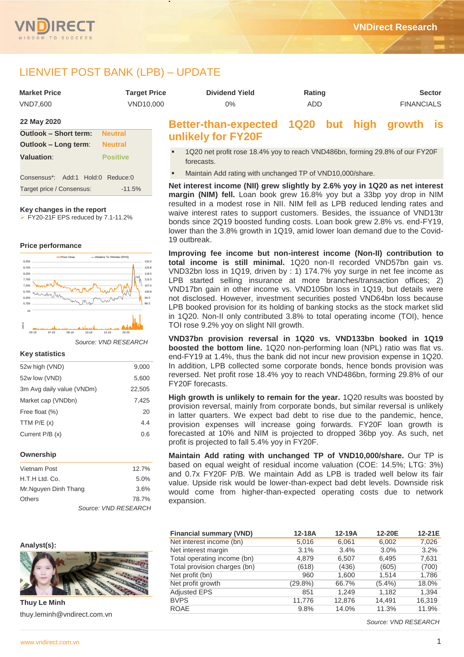

# LIENVIET POST BANK (LPB) – UPDATE

| <b>Market Price</b> | <b>Target Price</b> | <b>Dividend Yield</b>                        | Rating |  |                   | <b>Sector</b> |
|---------------------|---------------------|----------------------------------------------|--------|--|-------------------|---------------|
| VND7.600            | VND10.000           | $0\%$                                        | ADD.   |  | <b>FINANCIALS</b> |               |
| 22 May 2020         |                     | Better-than-expected 1Q20 but high growth is |        |  |                   |               |

# **Outlook – Short term: Neutral Outlook – Long term**: **Neutral Valuation**: **Positive** Consensus\*: Add:1 Hold:0 Reduce:0 Target price / Consensus: -11.5%

#### **Key changes in the report**

FY20-21F EPS reduced by 7.1-11.2%

#### **Price performance**



*Source: VND RESEARCH*

#### **Key statistics**

| 52w high (VND)            | 9,000  |
|---------------------------|--------|
| 52w low (VND)             | 5,600  |
| 3m Avg daily value (VNDm) | 22,505 |
| Market cap (VNDbn)        | 7,425  |
| Free float (%)            | 20     |
| TTM $P/E(x)$              | 4.4    |
| Current P/B (x)           | 0.6    |
|                           |        |

#### **Ownership**

| Vietnam Post         | 12.7%                |
|----------------------|----------------------|
| H.T.H Ltd. Co.       | 5.0%                 |
| Mr.Nguyen Dinh Thang | 3.6%                 |
| Others               | 78.7%                |
|                      | Source: VND RESEARCH |

### **Analyst(s):**



**Thuy Le Minh** thuy.leminh@vndirect.com.vn

# **unlikely for FY20F**

- 1Q20 net profit rose 18.4% yoy to reach VND486bn, forming 29.8% of our FY20F forecasts.
- Maintain Add rating with unchanged TP of VND10,000/share.

**Net interest income (NII) grew slightly by 2.6% yoy in 1Q20 as net interest margin (NIM) fell.** Loan book grew 16.8% yoy but a 33bp yoy drop in NIM resulted in a modest rose in NII. NIM fell as LPB reduced lending rates and waive interest rates to support customers. Besides, the issuance of VND13tr bonds since 2Q19 boosted funding costs. Loan book grew 2.8% vs. end-FY19, lower than the 3.8% growth in 1Q19, amid lower loan demand due to the Covid-19 outbreak.

**Improving fee income but non-interest income (Non-II) contribution to total income is still minimal.** 1Q20 non-II recorded VND57bn gain vs. VND32bn loss in 1Q19, driven by : 1) 174.7% yoy surge in net fee income as LPB started selling insurance at more branches/transaction offices; 2) VND17bn gain in other income vs. VND105bn loss in 1Q19, but details were not disclosed. However, investment securities posted VND64bn loss because LPB booked provision for its holding of banking stocks as the stock market slid in 1Q20. Non-II only contributed 3.8% to total operating income (TOI), hence TOI rose 9.2% yoy on slight NII growth.

**VND37bn provision reversal in 1Q20 vs. VND133bn booked in 1Q19 boosted the bottom line.** 1Q20 non-performing loan (NPL) ratio was flat vs. end-FY19 at 1.4%, thus the bank did not incur new provision expense in 1Q20. In addition, LPB collected some corporate bonds, hence bonds provision was reversed. Net profit rose 18.4% yoy to reach VND486bn, forming 29.8% of our FY20F forecasts.

**High growth is unlikely to remain for the year.** 1Q20 results was boosted by provision reversal, mainly from corporate bonds, but similar reversal is unlikely in latter quarters. We expect bad debt to rise due to the pandemic, hence, provision expenses will increase going forwards. FY20F loan growth is forecasted at 10% and NIM is projected to dropped 36bp yoy. As such, net profit is projected to fall 5.4% yoy in FY20F.

**Maintain Add rating with unchanged TP of VND10,000/share.** Our TP is based on equal weight of residual income valuation (COE: 14.5%; LTG: 3%) and 0.7x FY20F P/B. We maintain Add as LPB is traded well below its fair value. Upside risk would be lower-than-expect bad debt levels. Downside risk would come from higher-than-expected operating costs due to network expansion.

| <b>Financial summary (VND)</b> | 12-18A     | $12-19A$ | 12-20E    | 12-21E |
|--------------------------------|------------|----------|-----------|--------|
| Net interest income (bn)       | 5,016      | 6,061    | 6,002     | 7,026  |
| Net interest margin            | 3.1%       | 3.4%     | 3.0%      | 3.2%   |
| Total operating income (bn)    | 4,879      | 6,507    | 6,495     | 7,631  |
| Total provision charges (bn)   | (618)      | (436)    | (605)     | (700)  |
| Net profit (bn)                | 960        | 1.600    | 1.514     | 1,786  |
| Net profit growth              | $(29.8\%)$ | 66.7%    | $(5.4\%)$ | 18.0%  |
| <b>Adjusted EPS</b>            | 851        | 1.249    | 1,182     | 1,394  |
| <b>BVPS</b>                    | 11.776     | 12.876   | 14.491    | 16,319 |
| <b>ROAE</b>                    | 9.8%       | 14.0%    | 11.3%     | 11.9%  |
|                                |            |          |           |        |

*Source: VND RESEARCH*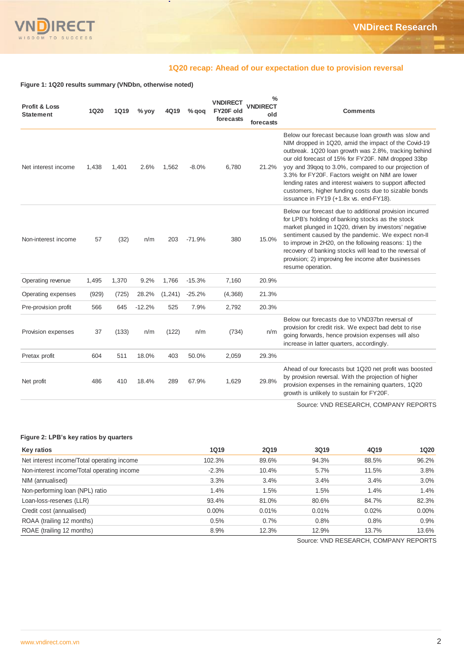

## **1Q20 recap: Ahead of our expectation due to provision reversal**

**Figure 1: 1Q20 results summary (VNDbn, otherwise noted)**

| <b>Profit &amp; Loss</b><br><b>Statement</b> | <b>1Q20</b> | <b>1Q19</b> | $%$ yoy  | 4Q19     | $%$ qoq  | <b>VNDIRECT</b><br>FY20F old<br>forecasts | $\frac{0}{0}$<br><b>VNDIRECT</b><br>old<br>forecasts | <b>Comments</b>                                                                                                                                                                                                                                                                                                                                                                                                                                                                                   |
|----------------------------------------------|-------------|-------------|----------|----------|----------|-------------------------------------------|------------------------------------------------------|---------------------------------------------------------------------------------------------------------------------------------------------------------------------------------------------------------------------------------------------------------------------------------------------------------------------------------------------------------------------------------------------------------------------------------------------------------------------------------------------------|
| Net interest income                          | 1,438       | 1,401       | 2.6%     | 1,562    | $-8.0%$  | 6,780                                     | 21.2%                                                | Below our forecast because loan growth was slow and<br>NIM dropped in 1Q20, amid the impact of the Covid-19<br>outbreak. 1Q20 loan growth was 2.8%, tracking behind<br>our old forecast of 15% for FY20F. NIM dropped 33bp<br>yoy and 39qoq to 3.0%, compared to our projection of<br>3.3% for FY20F. Factors weight on NIM are lower<br>lending rates and interest waivers to support affected<br>customers, higher funding costs due to sizable bonds<br>issuance in FY19 (+1.8x vs. end-FY18). |
| Non-interest income                          | 57          | (32)        | n/m      | 203      | $-71.9%$ | 380                                       | 15.0%                                                | Below our forecast due to additional provision incurred<br>for LPB's holding of banking stocks as the stock<br>market plunged in 1Q20, driven by investors' negative<br>sentiment caused by the pandemic. We expect non-II<br>to improve in 2H20, on the following reasons: 1) the<br>recovery of banking stocks will lead to the reversal of<br>provision; 2) improving fee income after businesses<br>resume operation.                                                                         |
| Operating revenue                            | 1,495       | 1,370       | 9.2%     | 1,766    | $-15.3%$ | 7,160                                     | 20.9%                                                |                                                                                                                                                                                                                                                                                                                                                                                                                                                                                                   |
| Operating expenses                           | (929)       | (725)       | 28.2%    | (1, 241) | $-25.2%$ | (4,368)                                   | 21.3%                                                |                                                                                                                                                                                                                                                                                                                                                                                                                                                                                                   |
| Pre-provision profit                         | 566         | 645         | $-12.2%$ | 525      | 7.9%     | 2,792                                     | 20.3%                                                |                                                                                                                                                                                                                                                                                                                                                                                                                                                                                                   |
| Provision expenses                           | 37          | (133)       | n/m      | (122)    | n/m      | (734)                                     | n/m                                                  | Below our forecasts due to VND37bn reversal of<br>provision for credit risk. We expect bad debt to rise<br>going forwards, hence provision expenses will also<br>increase in latter quarters, accordingly.                                                                                                                                                                                                                                                                                        |
| Pretax profit                                | 604         | 511         | 18.0%    | 403      | 50.0%    | 2,059                                     | 29.3%                                                |                                                                                                                                                                                                                                                                                                                                                                                                                                                                                                   |
| Net profit                                   | 486         | 410         | 18.4%    | 289      | 67.9%    | 1,629                                     | 29.8%                                                | Ahead of our forecasts but 1Q20 net profit was boosted<br>by provision reversal. With the projection of higher<br>provision expenses in the remaining quarters, 1Q20<br>growth is unlikely to sustain for FY20F.                                                                                                                                                                                                                                                                                  |

Source: VND RESEARCH, COMPANY REPORTS

### **Figure 2: LPB's key ratios by quarters**

| <b>Key ratios</b>                          | <b>1Q19</b> | <b>2Q19</b> | 3Q19  | 4Q19  | <b>1Q20</b> |
|--------------------------------------------|-------------|-------------|-------|-------|-------------|
| Net interest income/Total operating income | 102.3%      | 89.6%       | 94.3% | 88.5% | 96.2%       |
| Non-interest income/Total operating income | $-2.3%$     | 10.4%       | 5.7%  | 11.5% | 3.8%        |
| NIM (annualised)                           | 3.3%        | 3.4%        | 3.4%  | 3.4%  | 3.0%        |
| Non-performing loan (NPL) ratio            | 1.4%        | 1.5%        | 1.5%  | 1.4%  | 1.4%        |
| Loan-loss-reserves (LLR)                   | 93.4%       | 81.0%       | 80.6% | 84.7% | 82.3%       |
| Credit cost (annualised)                   | $0.00\%$    | 0.01%       | 0.01% | 0.02% | $0.00\%$    |
| ROAA (trailing 12 months)                  | 0.5%        | 0.7%        | 0.8%  | 0.8%  | 0.9%        |
| ROAE (trailing 12 months)                  | 8.9%        | 12.3%       | 12.9% | 13.7% | 13.6%       |

Source: VND RESEARCH, COMPANY REPORTS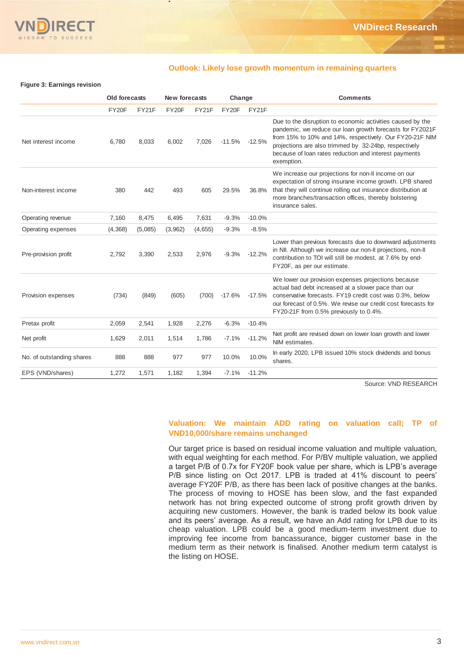

### **Outlook: Likely lose growth momentum in remaining quarters**

#### **Figure 3: Earnings revision**

|                           | <b>Old forecasts</b> |         | New forecasts |         | Change   |          | <b>Comments</b>                                                                                                                                                                                                                                                                                                    |
|---------------------------|----------------------|---------|---------------|---------|----------|----------|--------------------------------------------------------------------------------------------------------------------------------------------------------------------------------------------------------------------------------------------------------------------------------------------------------------------|
|                           | FY20F                | FY21F   | FY20F         | FY21F   | FY20F    | FY21F    |                                                                                                                                                                                                                                                                                                                    |
| Net interest income       | 6,780                | 8,033   | 6,002         | 7,026   | $-11.5%$ | $-12.5%$ | Due to the disruption to economic activities caused by the<br>pandemic, we reduce our loan growth forecasts for FY2021F<br>from 15% to 10% and 14%, respectively. Our FY20-21F NIM<br>projections are also trimmed by 32-24bp, respectively<br>because of loan rates reduction and interest payments<br>exemption. |
| Non-interest income       | 380                  | 442     | 493           | 605     | 29.5%    | 36.8%    | We increase our projections for non-II income on our<br>expectation of strong insurane income growth. LPB shared<br>that they will continue rolling out insurance distribution at<br>more branches/transaction offices, thereby bolstering<br>insurance sales.                                                     |
| Operating revenue         | 7,160                | 8,475   | 6,495         | 7,631   | $-9.3%$  | $-10.0%$ |                                                                                                                                                                                                                                                                                                                    |
| Operating expenses        | (4,368)              | (5,085) | (3,962)       | (4,655) | $-9.3%$  | $-8.5%$  |                                                                                                                                                                                                                                                                                                                    |
| Pre-provision profit      | 2,792                | 3,390   | 2,533         | 2,976   | $-9.3%$  | $-12.2%$ | Lower than previous forecasts due to downward adjustments<br>in NII. Although we increase our non-Il projections, non-Il<br>contribution to TOI will still be modest, at 7.6% by end-<br>FY20F, as per our estimate.                                                                                               |
| Provision expenses        | (734)                | (849)   | (605)         | (700)   | $-17.6%$ | $-17.5%$ | We lower our provision expenses projections because<br>actual bad debt increased at a slower pace than our<br>conservative forecasts. FY19 credit cost was 0.3%, below<br>our forecast of 0.5%. We revise our credit cost forecasts for<br>FY20-21F from 0.5% previously to 0.4%.                                  |
| Pretax profit             | 2,059                | 2,541   | 1,928         | 2,276   | $-6.3%$  | $-10.4%$ |                                                                                                                                                                                                                                                                                                                    |
| Net profit                | 1,629                | 2,011   | 1,514         | 1,786   | $-7.1%$  | $-11.2%$ | Net profit are revised down on lower loan growth and lower<br>NIM estimates.                                                                                                                                                                                                                                       |
| No. of outstanding shares | 888                  | 888     | 977           | 977     | 10.0%    | 10.0%    | In early 2020, LPB issued 10% stock dividends and bonus<br>shares.                                                                                                                                                                                                                                                 |
| EPS (VND/shares)          | 1,272                | 1,571   | 1,182         | 1,394   | $-7.1%$  | $-11.2%$ |                                                                                                                                                                                                                                                                                                                    |

Source: VND RESEARCH

# **Valuation: We maintain ADD rating on valuation call; TP of VND10,000/share remains unchanged**

Our target price is based on residual income valuation and multiple valuation, with equal weighting for each method. For P/BV multiple valuation, we applied a target P/B of 0.7x for FY20F book value per share, which is LPB's average P/B since listing on Oct 2017. LPB is traded at 41% discount to peers' average FY20F P/B, as there has been lack of positive changes at the banks. The process of moving to HOSE has been slow, and the fast expanded network has not bring expected outcome of strong profit growth driven by acquiring new customers. However, the bank is traded below its book value and its peers' average. As a result, we have an Add rating for LPB due to its cheap valuation. LPB could be a good medium-term investment due to improving fee income from bancassurance, bigger customer base in the medium term as their network is finalised. Another medium term catalyst is the listing on HOSE.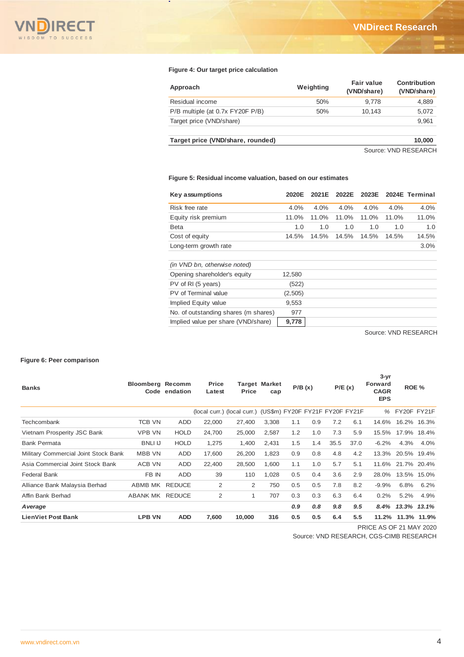

### **Figure 4: Our target price calculation**

| Approach                          | Weighting | <b>Fair value</b><br>(VND/share) | Contribution<br>(VND/share) |
|-----------------------------------|-----------|----------------------------------|-----------------------------|
| Residual income                   | 50%       | 9.778                            | 4,889                       |
| P/B multiple (at 0.7x FY20F P/B)  | 50%       | 10.143                           | 5,072                       |
| Target price (VND/share)          |           |                                  | 9,961                       |
| Target price (VND/share, rounded) |           |                                  | 10,000                      |
|                                   |           |                                  | Couron VAID DECEADOU        |

Source: VND RESEARCH

### **Figure 5: Residual income valuation, based on our estimates**

| Key assumptions                      | 2020E   | 2021E | 2022E | 2023E |       | 2024E Terminal |
|--------------------------------------|---------|-------|-------|-------|-------|----------------|
| Risk free rate                       | 4.0%    | 4.0%  | 4.0%  | 4.0%  | 4.0%  | 4.0%           |
| Equity risk premium                  | 11.0%   | 11.0% | 11.0% | 11.0% | 11.0% | 11.0%          |
| Beta                                 | 1.0     | 1.0   | 1.0   | 1.0   | 1.0   | 1.0            |
| Cost of equity                       | 14.5%   | 14.5% | 14.5% | 14.5% | 14.5% | 14.5%          |
| Long-term growth rate                |         |       |       |       |       | $3.0\%$        |
|                                      |         |       |       |       |       |                |
| (in VND bn, otherwise noted)         |         |       |       |       |       |                |
| Opening shareholder's equity         | 12,580  |       |       |       |       |                |
| PV of RI (5 years)                   | (522)   |       |       |       |       |                |
| PV of Terminal value                 | (2,505) |       |       |       |       |                |
| Implied Equity value                 | 9,553   |       |       |       |       |                |
| No. of outstanding shares (m shares) | 977     |       |       |       |       |                |
| Implied value per share (VND/share)  | 9,778   |       |       |       |       |                |

Source: VND RESEARCH

### **Figure 6: Peer comparison**

| <b>Banks</b>                         | <b>Bloomberg Recomm</b> | Code endation | Price<br>Latest                                             | <b>Price</b> | <b>Target Market</b><br>cap |     | P/B(x) |      |      |         |             |             |  |  |  |  |  |  |  |  |  |  |  |  |  |  |  |  |  |  | P/E(x) | $3 - yr$<br><b>Forward</b><br><b>CAGR</b><br><b>EPS</b> | ROE % |  |
|--------------------------------------|-------------------------|---------------|-------------------------------------------------------------|--------------|-----------------------------|-----|--------|------|------|---------|-------------|-------------|--|--|--|--|--|--|--|--|--|--|--|--|--|--|--|--|--|--|--------|---------------------------------------------------------|-------|--|
|                                      |                         |               | (local curr.) (local curr.) (US\$m) FY20F FY21F FY20F FY21F |              |                             |     |        |      |      | ℅       | FY20F FY21F |             |  |  |  |  |  |  |  |  |  |  |  |  |  |  |  |  |  |  |        |                                                         |       |  |
| Techcombank                          | <b>TCB VN</b>           | ADD           | 22,000                                                      | 27,400       | 3,308                       | 1.1 | 0.9    | 7.2  | 6.1  | 14.6%   | 16.2%       | 16.3%       |  |  |  |  |  |  |  |  |  |  |  |  |  |  |  |  |  |  |        |                                                         |       |  |
| Vietnam Prosperity JSC Bank          | <b>VPB VN</b>           | <b>HOLD</b>   | 24.700                                                      | 25,000       | 2,587                       | 1.2 | 1.0    | 7.3  | 5.9  | 15.5%   | 17.9%       | 18.4%       |  |  |  |  |  |  |  |  |  |  |  |  |  |  |  |  |  |  |        |                                                         |       |  |
| <b>Bank Permata</b>                  | <b>BNLI IJ</b>          | <b>HOLD</b>   | 1,275                                                       | 1,400        | 2,431                       | 1.5 | 1.4    | 35.5 | 37.0 | $-6.2%$ | 4.3%        | 4.0%        |  |  |  |  |  |  |  |  |  |  |  |  |  |  |  |  |  |  |        |                                                         |       |  |
| Military Commercial Joint Stock Bank | <b>MBB VN</b>           | ADD           | 17,600                                                      | 26,200       | 1,823                       | 0.9 | 0.8    | 4.8  | 4.2  | 13.3%   | 20.5%       | 19.4%       |  |  |  |  |  |  |  |  |  |  |  |  |  |  |  |  |  |  |        |                                                         |       |  |
| Asia Commercial Joint Stock Bank     | ACB VN                  | <b>ADD</b>    | 22,400                                                      | 28,500       | 1,600                       | 1.1 | 1.0    | 5.7  | 5.1  | 11.6%   | 21.7% 20.4% |             |  |  |  |  |  |  |  |  |  |  |  |  |  |  |  |  |  |  |        |                                                         |       |  |
| <b>Federal Bank</b>                  | FB IN                   | <b>ADD</b>    | 39                                                          | 110          | 1,028                       | 0.5 | 0.4    | 3.6  | 2.9  | 28.0%   | 13.5%       | 15.0%       |  |  |  |  |  |  |  |  |  |  |  |  |  |  |  |  |  |  |        |                                                         |       |  |
| Alliance Bank Malaysia Berhad        | ABMB MK                 | <b>REDUCE</b> | 2                                                           | 2            | 750                         | 0.5 | 0.5    | 7.8  | 8.2  | $-9.9%$ | 6.8%        | 6.2%        |  |  |  |  |  |  |  |  |  |  |  |  |  |  |  |  |  |  |        |                                                         |       |  |
| Affin Bank Berhad                    | ABANK MK REDUCE         |               | 2                                                           | $\mathbf{1}$ | 707                         | 0.3 | 0.3    | 6.3  | 6.4  | 0.2%    | 5.2%        | 4.9%        |  |  |  |  |  |  |  |  |  |  |  |  |  |  |  |  |  |  |        |                                                         |       |  |
| A verage                             |                         |               |                                                             |              |                             | 0.9 | 0.8    | 9.8  | 9.5  | 8.4%    | 13.3%       | 13.1%       |  |  |  |  |  |  |  |  |  |  |  |  |  |  |  |  |  |  |        |                                                         |       |  |
| <b>LienViet Post Bank</b>            | <b>LPB VN</b>           | <b>ADD</b>    | 7,600                                                       | 10,000       | 316                         | 0.5 | 0.5    | 6.4  | 5.5  | 11.2%   |             | 11.3% 11.9% |  |  |  |  |  |  |  |  |  |  |  |  |  |  |  |  |  |  |        |                                                         |       |  |
|                                      |                         |               |                                                             |              |                             |     |        |      |      |         |             |             |  |  |  |  |  |  |  |  |  |  |  |  |  |  |  |  |  |  |        |                                                         |       |  |

PRICE AS OF 21 MAY 2020

Source: VND RESEARCH, CGS-CIMB RESEARCH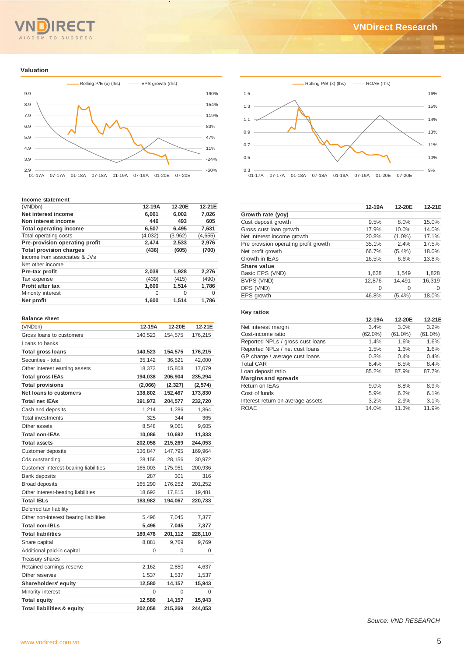# WISDOM TO SUCCESS

#### **Valuation**



#### **Income statement**

| (VNDbn)                        | 12-19A   | 12-20E   | 12-21E  |
|--------------------------------|----------|----------|---------|
|                                |          |          |         |
| Net interest income            | 6,061    | 6,002    | 7,026   |
| Non interest income            | 446      | 493      | 605     |
| <b>Total operating income</b>  | 6,507    | 6.495    | 7,631   |
| Total operating costs          | (4,032)  | (3,962)  | (4,655) |
| Pre-provision operating profit | 2,474    | 2,533    | 2,976   |
| <b>Total provision charges</b> | (436)    | (605)    | (700)   |
| Income from associates & JVs   |          |          |         |
| Net other income               |          |          |         |
| Pre-tax profit                 | 2,039    | 1,928    | 2,276   |
| Tax expense                    | (439)    | (415)    | (490)   |
| Profit after tax               | 1,600    | 1,514    | 1,786   |
| Minority interest              | $\Omega$ | $\Omega$ | 0       |
| Net profit                     | 1,600    | 1,514    | 1,786   |
|                                |          |          |         |

#### **Balance sheet**

| (VNDbn)                                | 12-19A  | 12-20E  | 12-21E  |
|----------------------------------------|---------|---------|---------|
| Gross loans to customers               | 140.523 | 154,575 | 176,215 |
| Loans to banks                         |         |         |         |
| <b>Total gross loans</b>               | 140,523 | 154,575 | 176,215 |
| Securities - total                     | 35,142  | 36,521  | 42,000  |
| Other interest earning assets          | 18,373  | 15,808  | 17,079  |
| <b>Total gross IEAs</b>                | 194,038 | 206,904 | 235,294 |
| <b>Total provisions</b>                | (2,066) | (2,327) | (2,574) |
| Net loans to customers                 | 138,802 | 152,467 | 173,830 |
| <b>Total net IEAs</b>                  | 191,972 | 204,577 | 232,720 |
| Cash and deposits                      | 1,214   | 1,286   | 1,364   |
| <b>Total investments</b>               | 325     | 344     | 365     |
| Other assets                           | 8,548   | 9,061   | 9,605   |
| <b>Total non-IEAs</b>                  | 10,086  | 10,692  | 11,333  |
| <b>Total assets</b>                    | 202,058 | 215,269 | 244,053 |
| Customer deposits                      | 136,847 | 147,795 | 169,964 |
| Cds outstanding                        | 28,156  | 28,156  | 30,972  |
| Customer interest-bearing liabilities  | 165,003 | 175,951 | 200,936 |
| <b>Bank deposits</b>                   | 287     | 301     | 316     |
| <b>Broad deposits</b>                  | 165,290 | 176,252 | 201,252 |
| Other interest-bearing liabilities     | 18,692  | 17,815  | 19,481  |
| <b>Total IBLs</b>                      | 183,982 | 194,067 | 220,733 |
| Deferred tax liability                 |         |         |         |
| Other non-interest bearing liabilities | 5,496   | 7,045   | 7,377   |
| <b>Total non-IBLs</b>                  | 5,496   | 7,045   | 7,377   |
| <b>Total liabilities</b>               | 189,478 | 201,112 | 228,110 |
| Share capital                          | 8,881   | 9,769   | 9,769   |
| Additional paid-in capital             | 0       | 0       | 0       |
| Treasury shares                        |         |         |         |
| Retained earnings reserve              | 2,162   | 2,850   | 4,637   |
| Other reserves                         | 1,537   | 1,537   | 1,537   |
| Shareholders' equity                   | 12,580  | 14,157  | 15,943  |
| Minority interest                      | 0       | 0       | 0       |
| <b>Total equity</b>                    | 12,580  | 14,157  | 15,943  |
| <b>Total liabilities &amp; equity</b>  | 202,058 | 215,269 | 244,053 |



|                                       | 12-19A | 12-20E    | 12-21E |
|---------------------------------------|--------|-----------|--------|
| Growth rate (yoy)                     |        |           |        |
| Cust deposit growth                   | 9.5%   | 8.0%      | 15.0%  |
| Gross cust loan growth                | 17.9%  | 10.0%     | 14.0%  |
| Net interest income growth            | 20.8%  | $(1.0\%)$ | 17.1%  |
| Pre provision operating profit growth | 35.1%  | 2.4%      | 17.5%  |
| Net profit growth                     | 66.7%  | $(5.4\%)$ | 18.0%  |
| Growth in IEAs                        | 16.5%  | 6.6%      | 13.8%  |
| Share value                           |        |           |        |
| Basic EPS (VND)                       | 1,638  | 1,549     | 1,828  |
| BVPS (VND)                            | 12.876 | 14,491    | 16,319 |
| DPS (VND)                             | 0      | $\Omega$  | 0      |
| EPS growth                            | 46.8%  | $(5.4\%)$ | 18.0%  |

### **Key ratios**

|                                   | 12-19A     | 12-20E     | 12-21E     |
|-----------------------------------|------------|------------|------------|
| Net interest margin               | 3.4%       | 3.0%       | 3.2%       |
| Cost-income ratio                 | $(62.0\%)$ | $(61.0\%)$ | $(61.0\%)$ |
| Reported NPLs / gross cust loans  | 1.4%       | 1.6%       | 1.6%       |
| Reported NPLs / net cust loans    | 1.5%       | 1.6%       | 1.6%       |
| GP charge / average cust loans    | 0.3%       | 0.4%       | 0.4%       |
| <b>Total CAR</b>                  | 8.4%       | 8.5%       | 8.4%       |
| Loan deposit ratio                | 85.2%      | 87.9%      | 87.7%      |
| <b>Margins and spreads</b>        |            |            |            |
| Return on IEAs                    | 9.0%       | 8.8%       | 8.9%       |
| Cost of funds                     | 5.9%       | 6.2%       | 6.1%       |
| Interest return on average assets | 3.2%       | 2.9%       | 3.1%       |
| ROAE                              | 14.0%      | 11.3%      | 11.9%      |
|                                   |            |            |            |